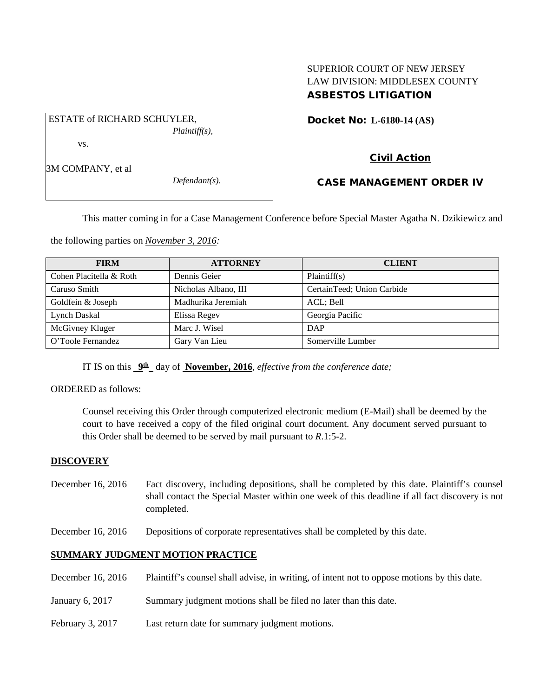# SUPERIOR COURT OF NEW JERSEY LAW DIVISION: MIDDLESEX COUNTY ASBESTOS LITIGATION

Docket No: **L-6180-14 (AS)** 

ESTATE of RICHARD SCHUYLER,

3M COMPANY, et al

vs.

*Defendant(s).*

*Plaintiff(s),*

# Civil Action

# CASE MANAGEMENT ORDER IV

This matter coming in for a Case Management Conference before Special Master Agatha N. Dzikiewicz and

the following parties on *November 3, 2016:*

| <b>FIRM</b>             | <b>ATTORNEY</b>      | <b>CLIENT</b>              |
|-------------------------|----------------------|----------------------------|
| Cohen Placitella & Roth | Dennis Geier         | Plaintiff(s)               |
| Caruso Smith            | Nicholas Albano, III | CertainTeed; Union Carbide |
| Goldfein & Joseph       | Madhurika Jeremiah   | ACL; Bell                  |
| Lynch Daskal            | Elissa Regev         | Georgia Pacific            |
| McGivney Kluger         | Marc J. Wisel        | DAP                        |
| O'Toole Fernandez       | Gary Van Lieu        | Somerville Lumber          |

IT IS on this **9th** day of **November, 2016**, *effective from the conference date;*

ORDERED as follows:

Counsel receiving this Order through computerized electronic medium (E-Mail) shall be deemed by the court to have received a copy of the filed original court document. Any document served pursuant to this Order shall be deemed to be served by mail pursuant to *R*.1:5-2.

### **DISCOVERY**

- December 16, 2016 Fact discovery, including depositions, shall be completed by this date. Plaintiff's counsel shall contact the Special Master within one week of this deadline if all fact discovery is not completed.
- December 16, 2016 Depositions of corporate representatives shall be completed by this date.

### **SUMMARY JUDGMENT MOTION PRACTICE**

- December 16, 2016 Plaintiff's counsel shall advise, in writing, of intent not to oppose motions by this date.
- January 6, 2017 Summary judgment motions shall be filed no later than this date.
- February 3, 2017 Last return date for summary judgment motions.